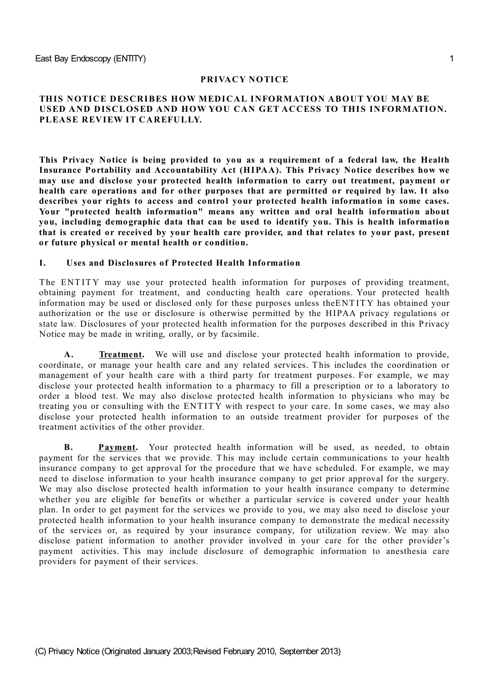### **PRIVACY NOTICE**

### **THIS NOTICE DESCRIBES HOW MEDICAL INFORMATION ABOUT YOU MAY BE USED AND DISCLOSED AND HOW YOU CAN GET ACCESS TO THIS INFORMATION. PLEASE REVIEW IT CAREFULLY.**

**This Privacy Notice is being provided to you as a requirement of a federal law, the Health Insurance Portability and Accountability Act (HIPAA). This Privacy Notice describes how we may use and disclose your protected health information to carry out treatment, payment or health care operations and for other purposes that are permitted or required by law. It also describes your rights to access and control your protected health information in some cases. Your "protected health information" means any written and oral health information about you, including demographic data that can be used to identify you. This is health information that is created or received by your health care provider, and that relates to your past, present or future physical or mental health or condition.**

#### **I. Uses and Disclosures of Protected Health Information**

The ENTITY may use your protected health information for purposes of providing treatment, obtaining payment for treatment, and conducting health care operations. Your protected health information may be used or disclosed only for these purposes unless theENT ITY has obtained your authorization or the use or disclosure is otherwise permitted by the HIPAA privacy regulations or state law. Disclosures of your protected health information for the purposes described in this Privacy Notice may be made in writing, orally, or by facsimile.

**A. Treatment.** We will use and disclose your protected health information to provide, coordinate, or manage your health care and any related services. T his includes the coordination or management of your health care with a third party for treatment purposes. For example, we may disclose your protected health information to a pharmacy to fill a prescription or to a laboratory to order a blood test. We may also disclose protected health information to physicians who may be treating you or consulting with the ENT ITY with respect to your care. In some cases, we may also disclose your protected health information to an outside treatment provider for purposes of the treatment activities of the other provider.

**B. Payment.** Your protected health information will be used, as needed, to obtain payment for the services that we provide. T his may include certain communications to your health insurance company to get approval for the procedure that we have scheduled. For example, we may need to disclose information to your health insurance company to get prior approval for the surgery. We may also disclose protected health information to your health insurance company to determine whether you are eligible for benefits or whether a particular service is covered under your health plan. In order to get payment for the services we provide to you, we may also need to disclose your protected health information to your health insurance company to demonstrate the medical necessity of the services or, as required by your insurance company, for utilization review. We may also disclose patient information to another provider involved in your care for the other provider's payment activities. This may include disclosure of demographic information to anesthesia care providers for payment of their services.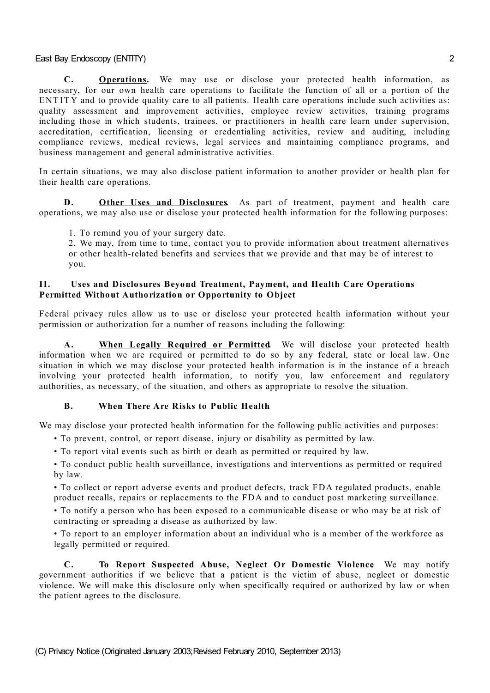**C. Operations.** We may use or disclose your protected health information, as necessary, for our own health care operations to facilitate the function of all or a portion of the ENTITY and to provide quality care to all patients. Health care operations include such activities as: quality assessment and improvement activities, employee review activities, training programs including those in which students, trainees, or practitioners in health care learn under supervision, accreditation, certification, licensing or credentialing activities, review and auditing, including compliance reviews, medical reviews, legal services and maintaining compliance programs, and business management and general administrative activities.

In certain situations, we may also disclose patient information to another provider or health plan for their health care operations.

**D. Other Uses and Disclosures.** As part of treatment, payment and health care operations, we may also use or disclose your protected health information for the following purposes:

1. To remind you of your surgery date.

2. We may, from time to time, contact you to provide information about treatment alternatives or other health-related benefits and services that we provide and that may be of interest to you.

### **II. Uses and Disclosures Beyond Treatment, Payment, and Health Care Operations Permitted Without Authorization or Opportunity to Object**

Federal privacy rules allow us to use or disclose your protected health information without your permission or authorization for a number of reasons including the following:

**A. When Legally Required or Permitted.** We will disclose your protected health information when we are required or permitted to do so by any federal, state or local law. One situation in which we may disclose your protected health information is in the instance of a breach involving your protected health information, to notify you, law enforcement and regulatory authorities, as necessary, of the situation, and others as appropriate to resolve the situation.

## **B. When There Are Risks to Public Health.**

We may disclose your protected health information for the following public activities and purposes:

- To prevent, control, or report disease, injury or disability as permitted by law.
- To report vital events such as birth or death as permitted or required by law.

• To conduct public health surveillance, investigations and interventions as permitted or required by law.

• To collect or report adverse events and product defects, track FDA regulated products, enable product recalls, repairs or replacements to the FDA and to conduct post marketing surveillance.

• To notify a person who has been exposed to a communicable disease or who may be at risk of contracting or spreading a disease as authorized by law.

• To report to an employer information about an individual who is a member of the workforce as legally permitted or required.

**C. To Report Suspected Abuse, Neglect Or Domestic Violence.** We may notify government authorities if we believe that a patient is the victim of abuse, neglect or domestic violence. We will make this disclosure only when specifically required or authorized by law or when the patient agrees to the disclosure.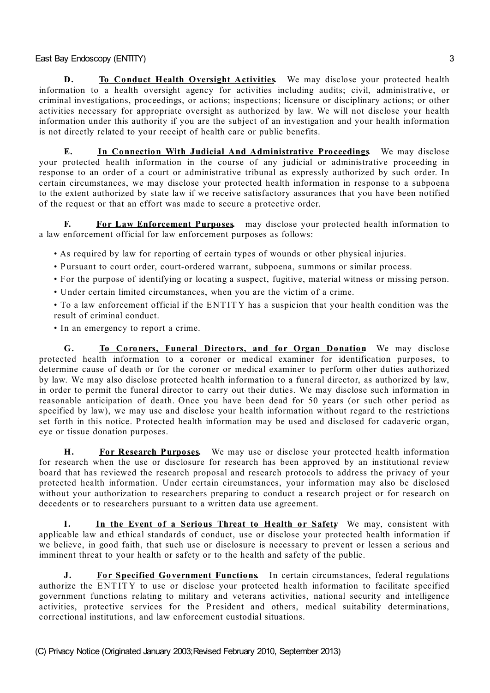**D. To Conduct Health Oversight Activities** We may disclose your protected health information to a health oversight agency for activities including audits; civil, administrative, or criminal investigations, proceedings, or actions; inspections; licensure or disciplinary actions; or other activities necessary for appropriate oversight as authorized by law. We will not disclose your health information under this authority if you are the subject of an investigation and your health information is not directly related to your receipt of health care or public benefits.

**E. In Connection With Judicial And Administrative Proceedings.** We may disclose your protected health information in the course of any judicial or administrative proceeding in response to an order of a court or administrative tribunal as expressly authorized by such order. In certain circumstances, we may disclose your protected health information in response to a subpoena to the extent authorized by state law if we receive satisfactory assurances that you have been notified of the request or that an effort was made to secure a protective order.

**F. For Law Enforcement Purposes.** may disclose your protected health information to a law enforcement official for law enforcement purposes as follows:

• As required by law for reporting of certain types of wounds or other physical injuries.

- Pursuant to court order, court-ordered warrant, subpoena, summons or similar process.
- For the purpose of identifying or locating a suspect, fugitive, material witness or missing person.
- Under certain limited circumstances, when you are the victim of a crime.
- To a law enforcement official if the ENT ITY has a suspicion that your health condition was the result of criminal conduct.
- In an emergency to report a crime.

**G. To Coroners, Funeral Directors, and for Organ Donation.** We may disclose protected health information to a coroner or medical examiner for identification purposes, to determine cause of death or for the coroner or medical examiner to perform other duties authorized by law. We may also disclose protected health information to a funeral director, as authorized by law, in order to permit the funeral director to carry out their duties. We may disclose such information in reasonable anticipation of death. Once you have been dead for 50 years (or such other period as specified by law), we may use and disclose your health information without regard to the restrictions set forth in this notice. Protected health information may be used and disclosed for cadaveric organ, eye or tissue donation purposes.

**H. For Research Purposes.** We may use or disclose your protected health information for research when the use or disclosure for research has been approved by an institutional review board that has reviewed the research proposal and research protocols to address the privacy of your protected health information. Under certain circumstances, your information may also be disclosed without your authorization to researchers preparing to conduct a research project or for research on decedents or to researchers pursuant to a written data use agreement.

**I. In the Event of a Serious Threat to Health or Safety.** We may, consistent with applicable law and ethical standards of conduct, use or disclose your protected health information if we believe, in good faith, that such use or disclosure is necessary to prevent or lessen a serious and imminent threat to your health or safety or to the health and safety of the public.

**J. For Specified Government Functions.** In certain circumstances, federal regulations authorize the ENT ITY to use or disclose your protected health information to facilitate specified government functions relating to military and veterans activities, national security and intelligence activities, protective services for the President and others, medical suitability determinations, correctional institutions, and law enforcement custodial situations.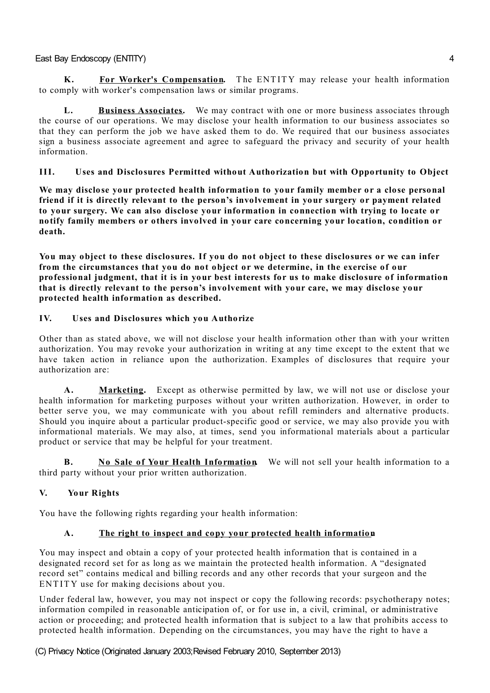**K. For Worker's Compensation.** T he ENT ITY may release your health information to comply with worker's compensation laws or similar programs.

**L. Business Associates.** We may contract with one or more business associates through the course of our operations. We may disclose your health information to our business associates so that they can perform the job we have asked them to do. We required that our business associates sign a business associate agreement and agree to safeguard the privacy and security of your health information.

# **III. Uses and Disclosures Permitted without Authorization but with Opportunity to Object**

**We may disclose your protected health information to your family member or a close personal friend if it is directly relevant to the person's involvement in your surgery or payment related to your surgery. We can also disclose your information in connection with trying to locate or notify family members or others involved in your care concerning your location, condition or death.**

**You may object to these disclosures. If you do not object to these disclosures or we can infer from the circumstances that you do not object or we determine, in the exercise of our professional judgment, that it is in your best interests for us to make disclosure of information that is directly relevant to the person's involvement with your care, we may disclose your protected health information as described.**

# **IV. Uses and Disclosures which you Authorize**

Other than as stated above, we will not disclose your health information other than with your written authorization. You may revoke your authorization in writing at any time except to the extent that we have taken action in reliance upon the authorization. Examples of disclosures that require your authorization are:

**A. Marketing.** Except as otherwise permitted by law, we will not use or disclose your health information for marketing purposes without your written authorization. However, in order to better serve you, we may communicate with you about refill reminders and alternative products. Should you inquire about a particular product-specific good or service, we may also provide you with informational materials. We may also, at times, send you informational materials about a particular product or service that may be helpful for your treatment.

**B. No Sale of Your Health Information.** We will not sell your health information to a third party without your prior written authorization.

# **V. Your Rights**

You have the following rights regarding your health information:

# **A. The right to inspect and copy your protected health information.**

You may inspect and obtain a copy of your protected health information that is contained in a designated record set for as long as we maintain the protected health information. A "designated record set" contains medical and billing records and any other records that your surgeon and the ENTITY use for making decisions about you.

Under federal law, however, you may not inspect or copy the following records: psychotherapy notes; information compiled in reasonable anticipation of, or for use in, a civil, criminal, or administrative action or proceeding; and protected health information that is subject to a law that prohibits access to protected health information. Depending on the circumstances, you may have the right to have a

(C) Privacy Notice (Originated January 2003;Revised February 2010, September 2013)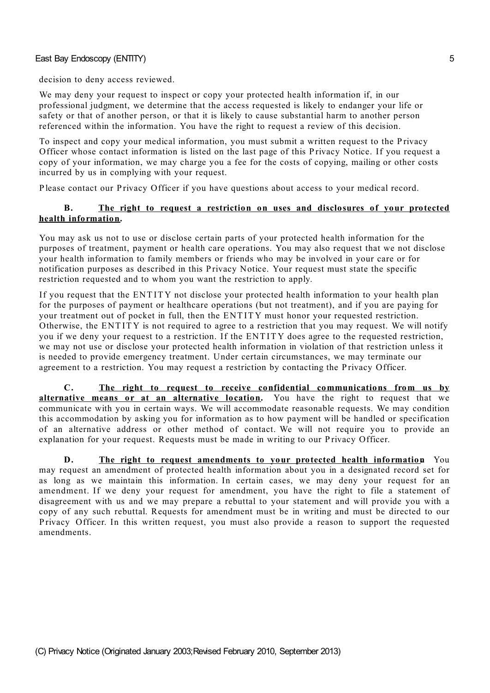decision to deny access reviewed.

We may deny your request to inspect or copy your protected health information if, in our professional judgment, we determine that the access requested is likely to endanger your life or safety or that of another person, or that it is likely to cause substantial harm to another person referenced within the information. You have the right to request a review of this decision.

To inspect and copy your medical information, you must submit a written request to the P rivacy Officer whose contact information is listed on the last page of this P rivacy Notice. If you request a copy of your information, we may charge you a fee for the costs of copying, mailing or other costs incurred by us in complying with your request.

P lease contact our P rivacy Officer if you have questions about access to your medical record.

### **B. The right to request a restriction on uses and disclosures of your protected health information.**

You may ask us not to use or disclose certain parts of your protected health information for the purposes of treatment, payment or health care operations. You may also request that we not disclose your health information to family members or friends who may be involved in your care or for notification purposes as described in this Privacy Notice. Your request must state the specific restriction requested and to whom you want the restriction to apply.

If you request that the ENT ITY not disclose your protected health information to your health plan for the purposes of payment or healthcare operations (but not treatment), and if you are paying for your treatment out of pocket in full, then the ENT ITY must honor your requested restriction. Otherwise, the ENT ITY is not required to agree to a restriction that you may request. We will notify you if we deny your request to a restriction. If the ENT ITY does agree to the requested restriction, we may not use or disclose your protected health information in violation of that restriction unless it is needed to provide emergency treatment. Under certain circumstances, we may terminate our agreement to a restriction. You may request a restriction by contacting the Privacy Officer.

**C. The right to request to receive confidential communications from us by alternative means or at an alternative location.** You have the right to request that we communicate with you in certain ways. We will accommodate reasonable requests. We may condition this accommodation by asking you for information as to how payment will be handled or specification of an alternative address or other method of contact. We will not require you to provide an explanation for your request. Requests must be made in writing to our Privacy Officer.

**D. The right to request amendments to your protected health information.** You may request an amendment of protected health information about you in a designated record set for as long as we maintain this information. In certain cases, we may deny your request for an amendment. If we deny your request for amendment, you have the right to file a statement of disagreement with us and we may prepare a rebuttal to your statement and will provide you with a copy of any such rebuttal. Requests for amendment must be in writing and must be directed to our P rivacy Officer. In this written request, you must also provide a reason to support the requested amendments.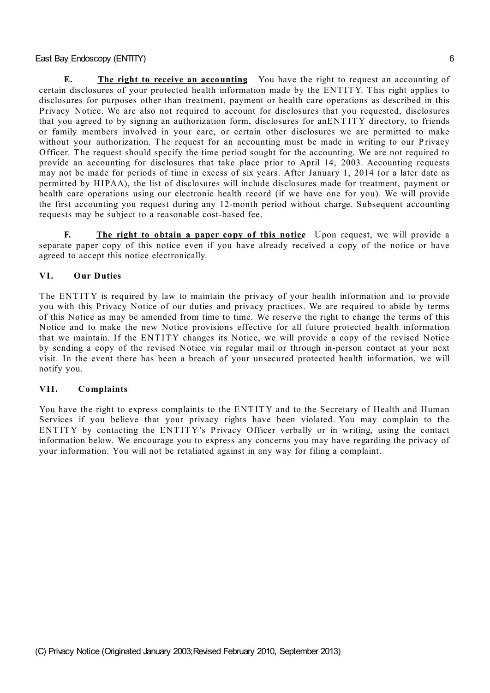**E. The right to receive an accounting.** You have the right to request an accounting of certain disclosures of your protected health information made by the ENT ITY. T his right applies to disclosures for purposes other than treatment, payment or health care operations as described in this P rivacy Notice. We are also not required to account for disclosures that you requested, disclosures that you agreed to by signing an authorization form, disclosures for anENT ITY directory, to friends or family members involved in your care, or certain other disclosures we are permitted to make without your authorization. The request for an accounting must be made in writing to our Privacy Officer. The request should specify the time period sought for the accounting. We are not required to provide an accounting for disclosures that take place prior to April 14, 2003. Accounting requests may not be made for periods of time in excess of six years. After January 1, 2014 (or a later date as permitted by HIPAA), the list of disclosures will include disclosures made for treatment, payment or health care operations using our electronic health record (if we have one for you). We will provide the first accounting you request during any 12-month period without charge. Subsequent accounting requests may be subject to a reasonable cost-based fee.

**F. The right to obtain a paper copy of this notice.** Upon request, we will provide a separate paper copy of this notice even if you have already received a copy of the notice or have agreed to accept this notice electronically.

### **VI. Our Duties**

The ENTITY is required by law to maintain the privacy of your health information and to provide you with this Privacy Notice of our duties and privacy practices. We are required to abide by terms of this Notice as may be amended from time to time. We reserve the right to change the terms of this Notice and to make the new Notice provisions effective for all future protected health information that we maintain. If the ENT ITY changes its Notice, we will provide a copy of the revised Notice by sending a copy of the revised Notice via regular mail or through in-person contact at your next visit. In the event there has been a breach of your unsecured protected health information, we will notify you.

### **VII. Complaints**

You have the right to express complaints to the ENT ITY and to the Secretary of Health and Human Services if you believe that your privacy rights have been violated. You may complain to the ENTITY by contacting the ENTITY's Privacy Officer verbally or in writing, using the contact information below. We encourage you to express any concerns you may have regarding the privacy of your information. You will not be retaliated against in any way for filing a complaint.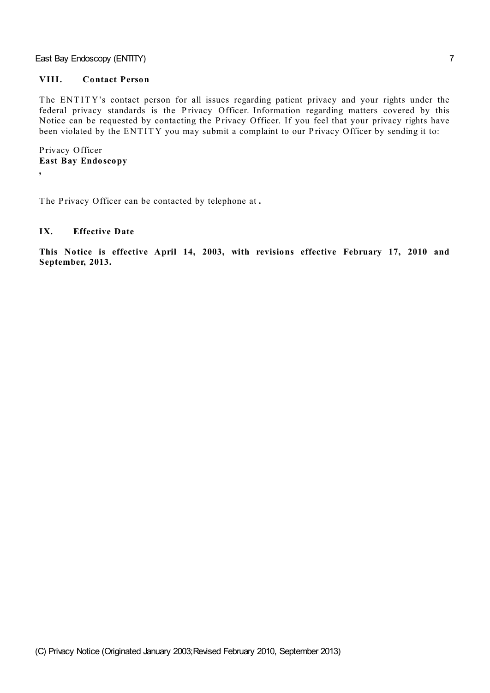## **VIII. Contact Person**

The ENTITY's contact person for all issues regarding patient privacy and your rights under the federal privacy standards is the Privacy Officer. Information regarding matters covered by this Notice can be requested by contacting the Privacy Officer. If you feel that your privacy rights have been violated by the ENTITY you may submit a complaint to our Privacy Officer by sending it to:

P rivacy Officer **East Bay Endoscopy ,**

The Privacy Officer can be contacted by telephone at .

## **IX. Effective Date**

**This Notice is effective April 14, 2003, with revisions effective February 17, 2010 and September, 2013.**